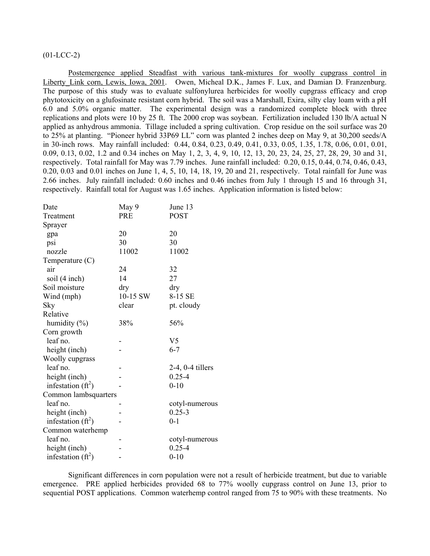## $(01-LCC-2)$

Postemergence applied Steadfast with various tank-mixtures for woolly cupgrass control in Liberty Link corn, Lewis, Iowa, 2001. Owen, Micheal D.K., James F. Lux, and Damian D. Franzenburg. The purpose of this study was to evaluate sulfonylurea herbicides for woolly cupgrass efficacy and crop phytotoxicity on a glufosinate resistant corn hybrid. The soil was a Marshall, Exira, silty clay loam with a pH 6.0 and 5.0% organic matter. The experimental design was a randomized complete block with three replications and plots were 10 by 25 ft. The 2000 crop was soybean. Fertilization included 130 lb/A actual N applied as anhydrous ammonia. Tillage included a spring cultivation. Crop residue on the soil surface was 20 to 25% at planting. "Pioneer hybrid 33P69 LL" corn was planted 2 inches deep on May 9, at 30,200 seeds/A in 30-inch rows. May rainfall included: 0.44, 0.84, 0.23, 0.49, 0.41, 0.33, 0.05, 1.35, 1.78, 0.06, 0.01, 0.01, 0.09, 0.13, 0.02, 1.2 and 0.34 inches on May 1, 2, 3, 4, 9, 10, 12, 13, 20, 23, 24, 25, 27, 28, 29, 30 and 31, respectively. Total rainfall for May was 7.79 inches. June rainfall included: 0.20, 0.15, 0.44, 0.74, 0.46, 0.43, 0.20, 0.03 and 0.01 inches on June  $1, 4, 5, 10, 14, 18, 19, 20$  and 21, respectively. Total rainfall for June was 2.66 inches. July rainfall included: 0.60 inches and 0.46 inches from July 1 through 15 and 16 through 31, respectively. Rainfall total for August was 1.65 inches. Application information is listed below:

| Date                 | May 9      | June 13               |
|----------------------|------------|-----------------------|
| Treatment            | <b>PRE</b> | <b>POST</b>           |
| Sprayer              |            |                       |
| gpa                  | 20         | 20                    |
| psi                  | 30         | 30                    |
| nozzle               | 11002      | 11002                 |
| Temperature $(C)$    |            |                       |
| air                  | 24         | 32                    |
| soil (4 inch)        | 14         | 27                    |
| Soil moisture        | dry        | dry                   |
| Wind (mph)           | 10-15 SW   | 8-15 SE               |
| Sky                  | clear      | pt. cloudy            |
| Relative             |            |                       |
| humidity $(\% )$     | 38%        | 56%                   |
| Corn growth          |            |                       |
| leaf no.             |            | V <sub>5</sub>        |
| height (inch)        |            | $6 - 7$               |
| Woolly cupgrass      |            |                       |
| leaf no.             |            | $2-4$ , $0-4$ tillers |
| height (inch)        |            | $0.25 - 4$            |
| infestation $(ft^2)$ |            | $0 - 10$              |
| Common lambsquarters |            |                       |
| leaf no.             |            | cotyl-numerous        |
| height (inch)        |            | $0.25 - 3$            |
| infestation $(ft^2)$ |            | $0 - 1$               |
| Common waterhemp     |            |                       |
| leaf no.             |            | cotyl-numerous        |
| height (inch)        |            | $0.25 - 4$            |
| infestation $(ft^2)$ |            | $0 - 10$              |

 Significant differences in corn population were not a result of herbicide treatment, but due to variable emergence. PRE applied herbicides provided 68 to 77% woolly cupgrass control on June 13, prior to sequential POST applications. Common waterhemp control ranged from 75 to 90% with these treatments. No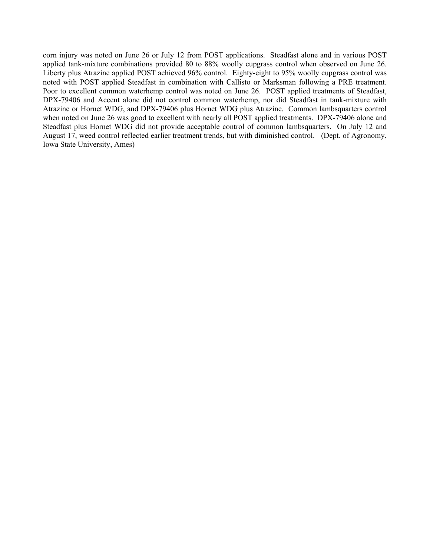corn injury was noted on June 26 or July 12 from POST applications. Steadfast alone and in various POST applied tank-mixture combinations provided 80 to 88% woolly cupgrass control when observed on June 26. Liberty plus Atrazine applied POST achieved 96% control. Eighty-eight to 95% woolly cupgrass control was noted with POST applied Steadfast in combination with Callisto or Marksman following a PRE treatment. Poor to excellent common waterhemp control was noted on June 26. POST applied treatments of Steadfast, DPX-79406 and Accent alone did not control common waterhemp, nor did Steadfast in tank-mixture with Atrazine or Hornet WDG, and DPX-79406 plus Hornet WDG plus Atrazine. Common lambsquarters control when noted on June 26 was good to excellent with nearly all POST applied treatments. DPX-79406 alone and Steadfast plus Hornet WDG did not provide acceptable control of common lambsquarters. On July 12 and August 17, weed control reflected earlier treatment trends, but with diminished control. (Dept. of Agronomy, Iowa State University, Ames)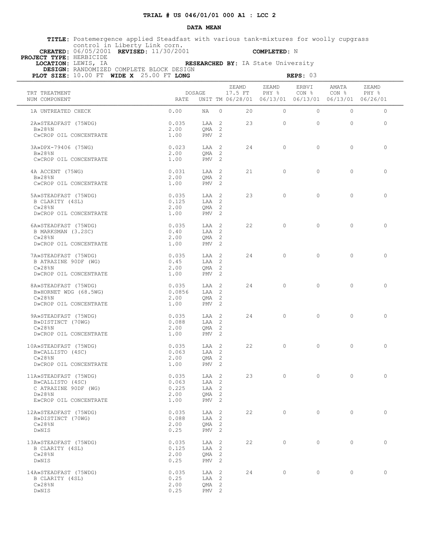### **DATA MEAN**

 **TITLE:** Postemergence applied Steadfast with various tank-mixtures for woolly cupgrass control in Liberty Link corn.

 **CREATED:** 06/05/2001 **REVISED:** 11/30/2001 **COMPLETED:** N

 **PROJECT TYPE:** HERBICIDE

 **LOCATION:** LEWIS, IA **RESEARCHED BY:** IA State University

 **DESIGN:** RANDOMIZED COMPLETE BLOCK DESIGN

| PLOT SIZE: 10.00 FT WIDE X 25.00 FT LONG                                                                     |                                                  | REPS: 03                                               |                                                                          |                |                           |                           |                |
|--------------------------------------------------------------------------------------------------------------|--------------------------------------------------|--------------------------------------------------------|--------------------------------------------------------------------------|----------------|---------------------------|---------------------------|----------------|
| TRT TREATMENT<br>NUM COMPONENT                                                                               | DOSAGE<br>RATE                                   |                                                        | ZEAMD<br>17.5 FT<br>UNIT TM 06/28/01 06/13/01 06/13/01 06/13/01 06/26/01 | ZEAMD<br>PHY % | ERBVI<br>CON <sub>8</sub> | AMATA<br>CON <sub>8</sub> | ZEAMD<br>PHY % |
| 1A UNTREATED CHECK                                                                                           | 0.00<br>NA                                       | $\Omega$                                               | 20                                                                       | $\Omega$       | $\circ$                   | $\circ$                   | $\circ$        |
| 2A»STEADFAST (75WDG)<br>$B\gg 28$ %N<br>C»CROP OIL CONCENTRATE                                               | 0.035<br>2.00<br>1.00                            | LAA 2<br>OMA <sub>2</sub><br>PMV <sub>2</sub>          | 23                                                                       | $\Omega$       | $\circ$                   | $\Omega$                  | $\circ$        |
| 3A»DPX-79406 (75WG)<br><b>B</b> >28%N<br>C»CROP OIL CONCENTRATE                                              | 0.023<br>2.00<br>1.00                            | LAA 2<br>OMA <sub>2</sub><br>$PMV$ 2                   | 24                                                                       | $\Omega$       | $\Omega$                  | $\Omega$                  | $\circ$        |
| 4A ACCENT (75WG)<br><b>B</b> >28%N<br>C»CROP OIL CONCENTRATE                                                 | 0.031<br>2.00<br>1.00                            | LAA 2<br>$QMA$ 2<br>$PMV$ 2                            | 21                                                                       | $\Omega$       | $\Omega$                  | $\Omega$                  | $\circ$        |
| 5A»STEADFAST (75WDG)<br>B CLARITY (4SL)<br>$C\gg28\$ N                                                       | 0.035<br>0.125<br>2.00                           | LAA 2<br>LAA 2<br>QMA 2                                | 23                                                                       | $\circ$        | $\circ$                   | $\Omega$                  | $\circ$        |
| D»CROP OIL CONCENTRATE<br>6A»STEADFAST (75WDG)<br>B MARKSMAN (3.2SC)                                         | 1.00<br>0.035<br>0.40                            | $PMV$ 2<br>LAA 2<br>LAA 2                              | 22                                                                       | $\Omega$       | $\Omega$                  | $\Omega$                  | $\Omega$       |
| $C\gg28\$ N<br>D»CROP OIL CONCENTRATE                                                                        | 2.00<br>1.00                                     | $OMA$ 2<br>PMV <sub>2</sub>                            |                                                                          |                |                           |                           |                |
| 7A»STEADFAST (75WDG)<br>B ATRAZINE 90DF (WG)<br>$C\gg 28$ <sup>8</sup> N<br>D»CROP OIL CONCENTRATE           | 0.035<br>0.45<br>2.00<br>1.00                    | LAA 2<br>LAA 2<br>$QMA$ 2<br>PMV <sub>2</sub>          | 24                                                                       | $\Omega$       | $\Omega$                  | $\Omega$                  | $\circ$        |
| 8A»STEADFAST (75WDG)<br>B»HORNET WDG (68.5WG)<br>$C\gg28$ <sup>8</sup> N<br>D»CROP OIL CONCENTRATE           | 0.035<br>0.0856<br>2.00<br>1.00                  | LAA 2<br>LAA 2<br>$QMA$ 2<br>$PMV$ 2                   | 24                                                                       | $\bigcirc$     | $\Omega$                  | $\Omega$                  | $\Omega$       |
| 9A»STEADFAST (75WDG)<br>B»DISTINCT (70WG)<br>$C\gg28\$ N<br>D»CROP OIL CONCENTRATE                           | 0.035<br>0.088<br>2.00<br>1.00                   | LAA 2<br>LAA 2<br>OMA <sub>2</sub><br>$PMV$ 2          | 24                                                                       | $\Omega$       | $\Omega$                  | $\Omega$                  | $\Omega$       |
| 10A»STEADFAST (75WDG)<br>B»CALLISTO (4SC)<br>$C\gg28\$ N<br>D»CROP OIL CONCENTRATE                           | 0.035<br>0.063<br>2.00<br>1.00                   | LAA 2<br>LAA 2<br>QMA 2<br>PMV <sub>2</sub>            | 22                                                                       | $\circ$        | $\circ$                   | $\circ$                   | $\circ$        |
| 11A»STEADFAST (75WDG)<br>B»CALLISTO (4SC)<br>C ATRAZINE 90DF (WG)<br>$D \gg 28$ %N<br>E»CROP OIL CONCENTRATE | 0.035<br>0.063<br>0.225<br>LAA 2<br>2.00<br>1.00 | LAA 2<br>LAA 2<br>QMA <sub>2</sub><br>PMV <sub>2</sub> | 23                                                                       | $\circ$        | $\circ$                   | $\circ$                   | $\circ$        |
| 12A»STEADFAST (75WDG)<br>B»DISTINCT (70WG)<br>$C\gg28\$ N<br>D»NIS                                           | 0.035<br>0.088<br>2.00<br>0.25                   | LAA 2<br>LAA 2<br>QMA 2<br>$PMV$ 2                     | 22                                                                       | $\circ$        | $\circ$                   | $\circ$                   | $\circ$        |
| 13A»STEADFAST (75WDG)<br>B CLARITY (4SL)<br>$C\gg 28$ <sup>8</sup> N<br>D»NIS                                | 0.035<br>0.125<br>2.00<br>0.25                   | LAA 2<br>LAA 2<br>QMA 2<br>PMV <sub>2</sub>            | 22                                                                       | $\circ$        | $\circ$                   | $\circ$                   | $\circ$        |
| 14A»STEADFAST (75WDG)<br>B CLARITY (4SL)<br>$C\gg 28$ %N<br>D»NIS                                            | 0.035<br>0.25<br>2.00<br>0.25                    | LAA 2<br>LAA 2<br>QMA 2<br>PMV <sub>2</sub>            | 24                                                                       | $\circ$        | $\circ$                   | $\circ$                   | $\circ$        |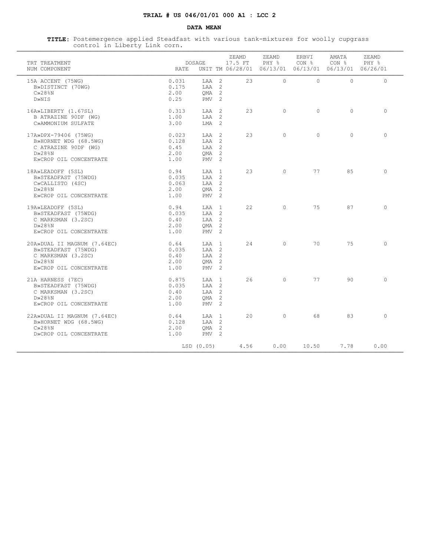# **TRIAL # US 046/01/01 000 A1 : LCC 2**

### **DATA MEAN**

 **TITLE:** Postemergence applied Steadfast with various tank-mixtures for woolly cupgrass control in Liberty Link corn. ¶¶¶¶¶¶¶¶¶¶¶¶¶¶¶¶¶¶¶¶¶¶¶¶¶¶¶¶¶¶¶¶¶¶¶¶¶¶¶¶¶¶¶¶¶¶¶¶¶¶¶¶¶¶¶¶¶¶¶¶¶¶¶¶¶¶¶¶¶¶¶¶¶¶¶¶¶¶¶¶¶¶¶¶¶¶¶¶¶¶¶¶¶¶¶¶¶¶¶¶¶¶¶¶¶¶¶¶¶¶¶¶¶¶¶

| TRT TREATMENT<br>NUM COMPONENT                                                                                     | RATE                                   | DOSAGE                                                            | ZEAMD<br>17.5 FT | ZEAMD<br>PHY %<br>UNIT TM 06/28/01 06/13/01 06/13/01 06/13/01 06/26/01 | ERBVI<br>CON % | AMATA<br>CON % | ZEAMD<br>PHY % |
|--------------------------------------------------------------------------------------------------------------------|----------------------------------------|-------------------------------------------------------------------|------------------|------------------------------------------------------------------------|----------------|----------------|----------------|
| 15A ACCENT (75WG)<br>B»DISTINCT (70WG)<br>$C\gg28\$ <sub>8</sub> N<br>D»NIS                                        | 0.031<br>0.175<br>2.00<br>0.25         | LAA <sub>2</sub><br>LAA 2<br>$QMA$ 2<br>$PMV$ 2                   | 2.3              | $\bigcap$                                                              | $\Omega$       | $\Omega$       | $\Omega$       |
| 16A»LIBERTY (1.67SL)<br>B ATRAZINE 90DF (WG)<br>C»AMMONIUM SULFATE                                                 | 0.313<br>1.00<br>3.00                  | LAA 2<br>$TAA$ 2<br>$T \cdot MA$ 2                                | 2.3              | $\Omega$                                                               | $\Omega$       | $\Omega$       | $\Omega$       |
| 17A»DPX-79406 (75WG)<br>B»HORNET WDG (68.5WG)<br>C ATRAZINE 90DF (WG)<br>$D\gg 28$ %N<br>E»CROP OIL CONCENTRATE    | 0.023<br>0.128<br>0.45<br>2.00<br>1.00 | LAA 2<br>LAA 2<br>LAA 2<br>$OMA$ 2<br>$PMV$ 2                     | 2.3              | $\bigcap$                                                              | $\Omega$       | $\Omega$       | $\Omega$       |
| 18A»LEADOFF (5SL)<br>B»STEADFAST (75WDG)<br>C»CALLISTO (4SC)<br>$D \gg 28$ %N<br>E»CROP OIL CONCENTRATE            | 0.94<br>0.035<br>0.063<br>2.00<br>1.00 | LAA 1<br>$TAA$ 2<br>LAA 2<br>OMA <sub>2</sub><br>PMV <sub>2</sub> | 23               | $\Omega$                                                               | 77             | 85             | $\Omega$       |
| 19A»LEADOFF (5SL)<br>B»STEADFAST (75WDG)<br>C MARKSMAN (3.2SC)<br>$D \gg 28$ %N<br>E»CROP OIL CONCENTRATE          | 0.94<br>0.035<br>0.40<br>2.00<br>1.00  | T.AA 1<br>LAA 2<br>LAA 2<br>OMA <sub>2</sub><br>$PMV$ 2           | 22               | $\Omega$                                                               | 75             | 87             | $\Omega$       |
| 20A»DUAL II MAGNUM (7.64EC)<br>B»STEADFAST (75WDG)<br>C MARKSMAN (3.2SC)<br>$D\gg 28$ %N<br>E»CROP OIL CONCENTRATE | 0.64<br>0.035<br>0.40<br>2.00<br>1.00  | T.AA 1<br>$T.AA$ 2<br>LAA 2<br>OMA <sub>2</sub><br>$PMV = 2$      | 24               | $\bigcap$                                                              | 70             | 75             | $\Omega$       |
| 21A HARNESS (7EC)<br>B»STEADFAST (75WDG)<br>C MARKSMAN (3.2SC)<br>$D \gg 28$ %N<br>E»CROP OIL CONCENTRATE          | 0.875<br>0.035<br>0.40<br>2.00<br>1.00 | T.AA 1<br>LAA 2<br>LAA 2<br>OMA <sub>2</sub><br>PMV <sub>2</sub>  | 26               | $\bigcap$                                                              | 77             | 90             | $\cap$         |
| 22A»DUAL II MAGNUM (7.64EC)<br>B»HORNET WDG (68.5WG)<br>$C\gg28\$ <sub>8</sub> N<br>D»CROP OIL CONCENTRATE         | 0.64<br>0.128<br>2.00<br>1.00          | LAA 1<br>LAA <sub>2</sub><br>QMA <sub>2</sub><br>PMV <sub>2</sub> | 20               | $\Omega$                                                               | 68             | 83             | $\bigcirc$     |
|                                                                                                                    |                                        | LSD (0.05)                                                        | 4.56             | 0.00                                                                   | 10.50          | 7.78           | 0.00           |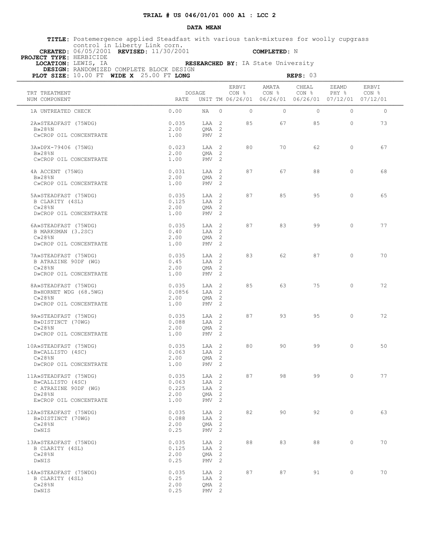### **DATA MEAN**

 **TITLE:** Postemergence applied Steadfast with various tank-mixtures for woolly cupgrass control in Liberty Link corn.

 **CREATED:** 06/05/2001 **REVISED:** 11/30/2001 **COMPLETED:** N

 **PROJECT TYPE:** HERBICIDE

 **DESIGN:** RANDOMIZED COMPLETE BLOCK DESIGN

 **LOCATION:** LEWIS, IA **RESEARCHED BY:** IA State University

| PLOT SIZE: 10.00 FT WIDE X 25.00 FT LONG                                                                                     |                                         |                                                                 |                |                           | REPS: 03                                                                          |                |                |
|------------------------------------------------------------------------------------------------------------------------------|-----------------------------------------|-----------------------------------------------------------------|----------------|---------------------------|-----------------------------------------------------------------------------------|----------------|----------------|
| TRT TREATMENT<br>NUM COMPONENT                                                                                               | DOSAGE<br>RATE                          |                                                                 | ERBVI<br>CON % | AMATA<br>CON <sub>8</sub> | CHEAL<br>CON <sub>8</sub><br>UNIT TM 06/26/01 06/26/01 06/26/01 07/12/01 07/12/01 | ZEAMD<br>PHY % | ERBVI<br>CON % |
| 1A UNTREATED CHECK                                                                                                           | 0.00                                    | $\Omega$<br>NA                                                  | $\Omega$       | $\Omega$                  | $\circ$                                                                           | $\Omega$       | $\circ$        |
| 2A»STEADFAST (75WDG)<br>$B\gg 28$ %N<br>C»CROP OIL CONCENTRATE                                                               | 0.035<br>2.00<br>1.00                   | LAA 2<br>$QMA$ 2<br>PMV <sub>2</sub>                            | 85             | 67                        | 85                                                                                | $\Omega$       | 73             |
| 3A»DPX-79406 (75WG)<br>B»28%N<br>C»CROP OIL CONCENTRATE                                                                      | 0.023<br>2.00<br>1.00                   | LAA 2<br>OMA <sub>2</sub><br>$PMV$ 2                            | 80             | 70                        | 62                                                                                | $\circ$        | 67             |
| 4A ACCENT (75WG)<br>B»28%N<br>C»CROP OIL CONCENTRATE                                                                         | 0.031<br>2.00<br>1.00                   | LAA 2<br>QMA 2<br>PMV <sub>2</sub>                              | 87             | 67                        | 88                                                                                | $\circ$        | 68             |
| 5A»STEADFAST (75WDG)<br>B CLARITY (4SL)<br>$C\gg28\$ N<br>D»CROP OIL CONCENTRATE                                             | 0.035<br>0.125<br>2.00<br>1.00          | LAA 2<br>LAA 2<br>$QMA$ 2<br>PMV <sub>2</sub>                   | 87             | 85                        | 95                                                                                | $\circ$        | 65             |
| 6A»STEADFAST (75WDG)<br>B MARKSMAN (3.2SC)<br>$C\gg28\$ N                                                                    | 0.035<br>0.40<br>2.00                   | LAA 2<br>LAA 2<br>OMA <sub>2</sub>                              | 87             | 83                        | 99                                                                                | $\Omega$       | 77             |
| D»CROP OIL CONCENTRATE<br>7A»STEADFAST (75WDG)<br>B ATRAZINE 90DF (WG)<br>$C\gg 28$ <sup>8</sup> N<br>D»CROP OIL CONCENTRATE | 1.00<br>0.035<br>0.45<br>2.00           | $PMV$ 2<br>LAA 2<br>LAA 2<br>QMA <sub>2</sub><br>$PMV$ 2        | 83             | 62                        | 87                                                                                | $\Omega$       | 70             |
| 8A»STEADFAST (75WDG)<br>B»HORNET WDG (68.5WG)<br>$C\gg28$ <sup>8</sup> N<br>D»CROP OIL CONCENTRATE                           | 1.00<br>0.035<br>0.0856<br>2.00<br>1.00 | LAA 2<br>LAA 2<br>QMA <sub>2</sub><br>PMV <sub>2</sub>          | 85             | 63                        | 75                                                                                | $\Omega$       | 72             |
| 9A»STEADFAST (75WDG)<br>B»DISTINCT (70WG)<br>$C\gg28\$ N<br>D»CROP OIL CONCENTRATE                                           | 0.035<br>0.088<br>2.00<br>1.00          | LAA 2<br>LAA 2<br>OMA <sub>2</sub><br>PMV <sub>2</sub>          | 87             | 93                        | 95                                                                                | $\Omega$       | 72             |
| 10A»STEADFAST (75WDG)<br>B»CALLISTO (4SC)<br>$C\gg28\%N$<br>D»CROP OIL CONCENTRATE                                           | 0.035<br>0.063<br>2.00<br>1.00          | LAA 2<br>LAA 2<br>QMA 2<br>PMV <sub>2</sub>                     | 80             | 90                        | 99                                                                                | $\circ$        | 50             |
| 11A»STEADFAST (75WDG)<br>B»CALLISTO (4SC)<br>C ATRAZINE 90DF (WG)<br>$D \gg 28$ %N<br>E»CROP OIL CONCENTRATE                 | 0.035<br>0.063<br>0.225<br>2.00<br>1.00 | LAA 2<br>LAA 2<br>LAA 2<br>QMA <sub>2</sub><br>PMV <sub>2</sub> | 87             | 98                        | 99                                                                                | $\circ$        | 77             |
| 12A»STEADFAST (75WDG)<br>B»DISTINCT (70WG)<br>$C\gg 28$ <sup>8</sup> N<br>D»NIS                                              | 0.035<br>0.088<br>2.00<br>0.25          | LAA 2<br>LAA 2<br>QMA 2<br>$PMV$ 2                              | 82             | 90                        | 92                                                                                | $\circ$        | 63             |
| 13A»STEADFAST (75WDG)<br>B CLARITY (4SL)<br>$C\gg 28$ <sup>8</sup> N<br>D»NIS                                                | 0.035<br>0.125<br>2.00<br>0.25          | LAA 2<br>LAA 2<br>OMA <sub>2</sub><br>PMV <sub>2</sub>          | 88             | 83                        | 88                                                                                | $\circ$        | 70             |
| 14A»STEADFAST (75WDG)<br>B CLARITY (4SL)<br>$C\gg 28$ %N<br>D»NIS                                                            | 0.035<br>0.25<br>2.00<br>0.25           | LAA 2<br>LAA 2<br>QMA 2<br>PMV <sub>2</sub>                     | 87             | 87                        | 91                                                                                | $\circ$        | 70             |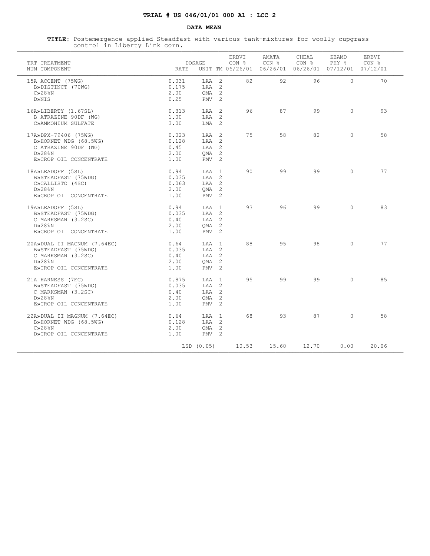# **TRIAL # US 046/01/01 000 A1 : LCC 2**

### **DATA MEAN**

 **TITLE:** Postemergence applied Steadfast with various tank-mixtures for woolly cupgrass control in Liberty Link corn. ¶¶¶¶¶¶¶¶¶¶¶¶¶¶¶¶¶¶¶¶¶¶¶¶¶¶¶¶¶¶¶¶¶¶¶¶¶¶¶¶¶¶¶¶¶¶¶¶¶¶¶¶¶¶¶¶¶¶¶¶¶¶¶¶¶¶¶¶¶¶¶¶¶¶¶¶¶¶¶¶¶¶¶¶¶¶¶¶¶¶¶¶¶¶¶¶¶¶¶¶¶¶¶¶¶¶¶¶¶¶¶¶¶¶¶

| TRT TREATMENT<br>NUM COMPONENT                                                                                           | <b>RATE</b>                            | DOSAGE                                                                            | ERBVI<br>CON % | AMATA<br>CON %<br>UNIT TM 06/26/01 06/26/01 06/26/01 07/12/01 07/12/01 | CHEAL<br>CON % | ZEAMD<br>PHY % | <b>ERBVT</b><br>CON % |
|--------------------------------------------------------------------------------------------------------------------------|----------------------------------------|-----------------------------------------------------------------------------------|----------------|------------------------------------------------------------------------|----------------|----------------|-----------------------|
| 15A ACCENT (75WG)<br>B»DISTINCT (70WG)<br>$C\gg28$ <sup>8</sup> N<br>D»NIS                                               | 0.031<br>0.175<br>2.00<br>0.25         | $TAA$ 2<br>LAA 2<br>QMA <sub>2</sub><br>PMV <sub>2</sub>                          | 82             | 92                                                                     | 96             | $\Omega$       | 70                    |
| 16A»LIBERTY (1.67SL)<br>B ATRAZINE 90DF (WG)<br>C»AMMONIUM SULFATE                                                       | 0.313<br>1.00<br>3.00                  | LAA 2<br>LAA 2<br>LMA 2                                                           | 96             | 87                                                                     | 99             | $\Omega$       | 93                    |
| 17A»DPX-79406 (75WG)<br>B»HORNET WDG (68.5WG)<br>C ATRAZINE 90DF (WG)<br>$D\gg 28$ %N<br>E»CROP OIL CONCENTRATE          | 0.023<br>0.128<br>0.45<br>2.00<br>1.00 | LAA 2<br>$TAA$ 2<br>LAA 2<br>OMA <sub>2</sub><br>PMV <sub>2</sub>                 | 75             | 58                                                                     | 82             | $\Omega$       | 58                    |
| 18A»LEADOFF (5SL)<br>B»STEADFAST (75WDG)<br>C»CALLISTO (4SC)<br>$D \gg 28$ %N<br>E»CROP OIL CONCENTRATE                  | 0.94<br>0.035<br>0.063<br>2.00<br>1.00 | T.AA 1<br>$TAA$ 2<br>LAA 2<br>OMA <sub>2</sub><br>PMV <sub>2</sub>                | 90             | 99                                                                     | 99             | $\Omega$       | 77                    |
| 19A»LEADOFF (5SL)<br>B»STEADFAST (75WDG)<br>C MARKSMAN (3.2SC)<br>$D\gg 28$ %N<br>E»CROP OIL CONCENTRATE                 | 0.94<br>0.035<br>0.40<br>2.00<br>1.00  | LAA 1<br>LAA 2<br>LAA 2<br>OMA <sub>2</sub><br>PMV <sub>2</sub>                   | 93             | 96                                                                     | 99             | $\Omega$       | 83                    |
| 20A»DUAL II MAGNUM (7.64EC)<br>B»STEADFAST (75WDG)<br>C MARKSMAN (3.2SC)<br>$D \times 28$ $8N$<br>E»CROP OIL CONCENTRATE | 0.64<br>0.035<br>0.40<br>2.00<br>1.00  | $T.A.A$ 1<br>LAA <sub>2</sub><br>$T.AA$ 2<br>QMA <sub>2</sub><br>PMV <sub>2</sub> | 88             | 95                                                                     | 98             | $\Omega$       | 77                    |
| 21A HARNESS (7EC)<br>B»STEADFAST (75WDG)<br>C MARKSMAN (3.2SC)<br>$D\gg 28$ %N<br>E»CROP OIL CONCENTRATE                 | 0.875<br>0.035<br>0.40<br>2.00<br>1.00 | LAA 1<br>LAA 2<br>LAA 2<br>QMA <sub>2</sub><br>PMV <sub>2</sub>                   | 9.5            | 99                                                                     | 99             | $\Omega$       | 85                    |
| 22A»DUAL II MAGNUM (7.64EC)<br>B»HORNET WDG (68.5WG)<br>$C\gg28$ <sup>8</sup> N<br>D»CROP OIL CONCENTRATE                | 0.64<br>0.128<br>2.00<br>1.00          | LAA 1<br>LAA 2<br>$QMA$ 2<br>PMV <sub>2</sub>                                     | 68             | 93                                                                     | 87             | $\Omega$       | 58                    |
|                                                                                                                          |                                        | LSD (0.05)                                                                        | 10.53          | 15.60                                                                  | 12.70          | 0.00           | 20.06                 |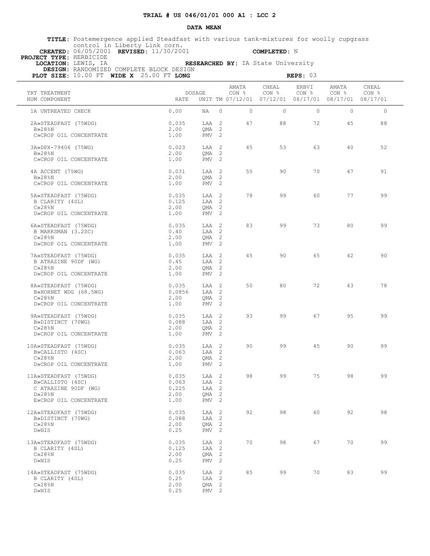### **DATA MEAN**

 **TITLE:** Postemergence applied Steadfast with various tank-mixtures for woolly cupgrass control in Liberty Link corn.

 **CREATED:** 06/05/2001 **REVISED:** 11/30/2001 **COMPLETED:** N

 **PROJECT TYPE:** HERBICIDE

 **LOCATION:** LEWIS, IA **RESEARCHED BY:** IA State University  **DESIGN:** RANDOMIZED COMPLETE BLOCK DESIGN

| PLOT SIZE: 10.00 FT WIDE X 25.00 FT LONG                                                                     |                                         |                                                                 |                 |                                                                        | REPS: 03                  |                           |                |
|--------------------------------------------------------------------------------------------------------------|-----------------------------------------|-----------------------------------------------------------------|-----------------|------------------------------------------------------------------------|---------------------------|---------------------------|----------------|
| TRT TREATMENT<br>NUM COMPONENT                                                                               | DOSAGE<br>RATE                          |                                                                 | AMATA<br>CON %  | CHEAL<br>CON %<br>UNIT TM 07/12/01 07/12/01 08/17/01 08/17/01 08/17/01 | ERBVI<br>CON <sub>8</sub> | AMATA<br>CON <sub>8</sub> | CHEAL<br>CON % |
| 1A UNTREATED CHECK                                                                                           | 0.00<br>NA                              | $\Omega$                                                        | $\Omega$        | $\Omega$                                                               | $\Omega$                  | $\Omega$                  | $\circ$        |
| 2A»STEADFAST (75WDG)<br>$B\gg 28$ %N<br>C»CROP OIL CONCENTRATE                                               | 0.035<br>2.00<br>1.00                   | LAA 2<br>$QMA$ 2<br>PMV <sub>2</sub>                            | 47              | 88                                                                     | 72                        | 45                        | 88             |
| 3A»DPX-79406 (75WG)<br><b>B</b> >28%N<br>C»CROP OIL CONCENTRATE                                              | 0.023<br>2.00<br>1.00                   | LAA 2<br>OMA <sub>2</sub><br>$PMV$ 2                            | 45              | 53                                                                     | 63                        | 40                        | 52             |
| 4A ACCENT (75WG)<br>B»28%N                                                                                   | 0.031<br>2.00                           | LAA 2<br>QMA 2                                                  | 55              | 90                                                                     | 70                        | 47                        | 91             |
| C»CROP OIL CONCENTRATE<br>5A»STEADFAST (75WDG)<br>B CLARITY (4SL)                                            | 1.00<br>0.035<br>0.125                  | PMV <sub>2</sub><br>LAA 2<br>LAA 2                              | 78              | 99                                                                     | 60                        | 77                        | 99             |
| $C\gg28\$ N<br>D»CROP OIL CONCENTRATE                                                                        | 2.00<br>1.00                            | $QMA$ 2<br>PMV <sub>2</sub>                                     |                 |                                                                        |                           |                           |                |
| 6A»STEADFAST (75WDG)<br>B MARKSMAN (3.2SC)<br>$C\gg28\$ <sub>SN</sub><br>D»CROP OIL CONCENTRATE              | 0.035<br>0.40<br>2.00<br>1.00           | LAA 2<br>LAA 2<br>OMA <sub>2</sub><br>$PMV$ 2                   | 83              | 99                                                                     | 73                        | 80                        | 99             |
| 7A»STEADFAST (75WDG)<br>B ATRAZINE 90DF (WG)<br>$C\gg 28$ <sup>8</sup> N<br>D»CROP OIL CONCENTRATE           | 0.035<br>0.45<br>2.00<br>1.00           | LAA 2<br>LAA 2<br>QMA <sub>2</sub><br>$PMV$ 2                   | 45              | 90                                                                     | 65                        | 42                        | 90             |
| 8A»STEADFAST (75WDG)<br>B»HORNET WDG (68.5WG)<br>$C\gg28$ <sup>8</sup> N<br>D»CROP OIL CONCENTRATE           | 0.035<br>0.0856<br>2.00<br>1.00         | LAA 2<br>LAA 2<br>QMA <sub>2</sub><br>PMV <sub>2</sub>          | 50 <sup>°</sup> | 80                                                                     | 72                        | 43                        | 78             |
| 9A»STEADFAST (75WDG)<br>B»DISTINCT (70WG)<br>$C\gg28\$ N<br>D»CROP OIL CONCENTRATE                           | 0.035<br>0.088<br>2.00<br>1.00          | LAA 2<br>LAA 2<br>OMA <sub>2</sub><br>PMV 2                     | 93              | 99                                                                     | 67                        | 95                        | 99             |
| 10A»STEADFAST (75WDG)<br>B»CALLISTO (4SC)<br>$C\gg28\$ <sub>N</sub><br>D»CROP OIL CONCENTRATE                | 0.035<br>0.063<br>2.00<br>1.00          | LAA 2<br>LAA 2<br>QMA 2<br>PMV <sub>2</sub>                     | 90              | 99                                                                     | 45                        | 90                        | 99             |
| 11A»STEADFAST (75WDG)<br>B»CALLISTO (4SC)<br>C ATRAZINE 90DF (WG)<br>$D \gg 28$ %N<br>E»CROP OIL CONCENTRATE | 0.035<br>0.063<br>0.225<br>2.00<br>1.00 | LAA 2<br>LAA 2<br>LAA 2<br>QMA <sub>2</sub><br>PMV <sub>2</sub> | 98              | 99                                                                     | 75                        | 98                        | 99             |
| 12A»STEADFAST (75WDG)<br>B»DISTINCT (70WG)<br>$C\gg 28$ <sup>8</sup> N<br>D»NIS                              | 0.035<br>0.088<br>2.00<br>0.25          | LAA 2<br>LAA 2<br>QMA 2<br>$PMV$ 2                              | 92              | 98                                                                     | 60                        | 92                        | 98             |
| 13A»STEADFAST (75WDG)<br>B CLARITY (4SL)<br>$C\gg 28$ <sup>8</sup> N<br>D»NIS                                | 0.035<br>0.125<br>2.00<br>0.25          | LAA 2<br>LAA 2<br>QMA 2<br>PMV <sub>2</sub>                     | 70              | 98                                                                     | 67                        | 70                        | 99             |
| 14A»STEADFAST (75WDG)<br>B CLARITY (4SL)<br>$C\gg 28$ %N<br>D»NIS                                            | 0.035<br>0.25<br>2.00<br>0.25           | LAA 2<br>LAA 2<br>QMA 2<br>PMV <sub>2</sub>                     | 85              | 99                                                                     | 70                        | 83                        | 99             |